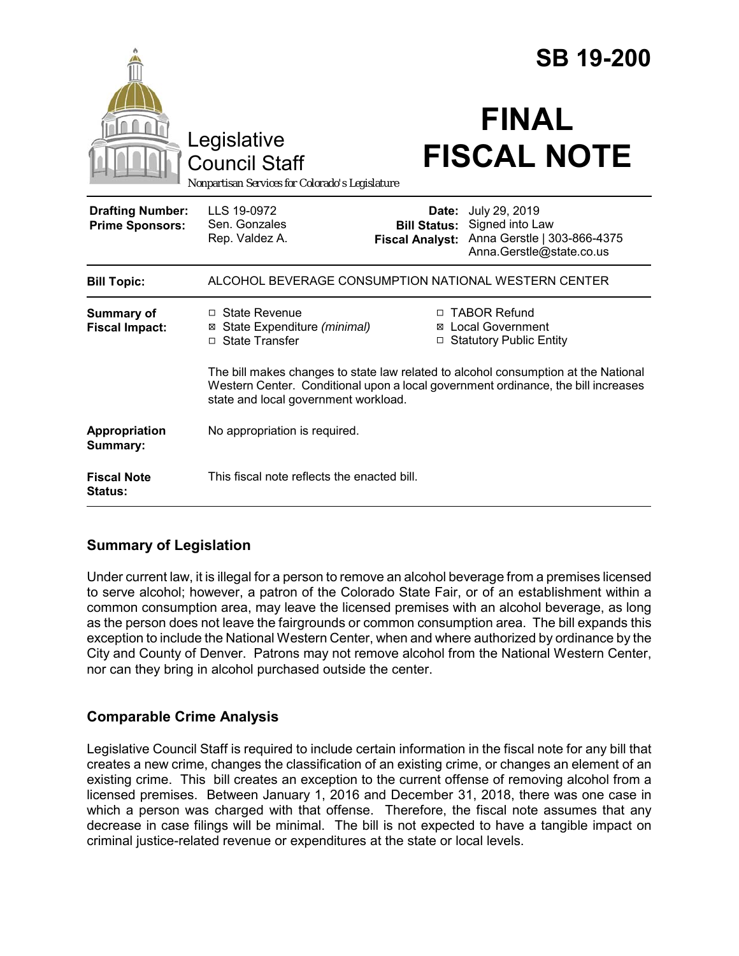|                                                   |                                                                                                                                                                                                                 |                                                        | <b>SB 19-200</b>                                                                            |
|---------------------------------------------------|-----------------------------------------------------------------------------------------------------------------------------------------------------------------------------------------------------------------|--------------------------------------------------------|---------------------------------------------------------------------------------------------|
|                                                   | Legislative<br><b>Council Staff</b><br>Nonpartisan Services for Colorado's Legislature                                                                                                                          |                                                        | <b>FINAL</b><br><b>FISCAL NOTE</b>                                                          |
| <b>Drafting Number:</b><br><b>Prime Sponsors:</b> | LLS 19-0972<br>Sen. Gonzales<br>Rep. Valdez A.                                                                                                                                                                  | Date:<br><b>Bill Status:</b><br><b>Fiscal Analyst:</b> | July 29, 2019<br>Signed into Law<br>Anna Gerstle   303-866-4375<br>Anna.Gerstle@state.co.us |
| <b>Bill Topic:</b>                                | ALCOHOL BEVERAGE CONSUMPTION NATIONAL WESTERN CENTER                                                                                                                                                            |                                                        |                                                                                             |
| <b>Summary of</b><br><b>Fiscal Impact:</b>        | $\Box$ State Revenue<br>⊠ State Expenditure (minimal)<br>$\Box$ State Transfer                                                                                                                                  | □                                                      | □ TABOR Refund<br>⊠ Local Government<br><b>Statutory Public Entity</b>                      |
|                                                   | The bill makes changes to state law related to alcohol consumption at the National<br>Western Center. Conditional upon a local government ordinance, the bill increases<br>state and local government workload. |                                                        |                                                                                             |
| Appropriation<br>Summary:                         | No appropriation is required.                                                                                                                                                                                   |                                                        |                                                                                             |
| <b>Fiscal Note</b><br>Status:                     | This fiscal note reflects the enacted bill.                                                                                                                                                                     |                                                        |                                                                                             |

## **Summary of Legislation**

Under current law, it is illegal for a person to remove an alcohol beverage from a premises licensed to serve alcohol; however, a patron of the Colorado State Fair, or of an establishment within a common consumption area, may leave the licensed premises with an alcohol beverage, as long as the person does not leave the fairgrounds or common consumption area. The bill expands this exception to include the National Western Center, when and where authorized by ordinance by the City and County of Denver. Patrons may not remove alcohol from the National Western Center, nor can they bring in alcohol purchased outside the center.

# **Comparable Crime Analysis**

Legislative Council Staff is required to include certain information in the fiscal note for any bill that creates a new crime, changes the classification of an existing crime, or changes an element of an existing crime. This bill creates an exception to the current offense of removing alcohol from a licensed premises. Between January 1, 2016 and December 31, 2018, there was one case in which a person was charged with that offense. Therefore, the fiscal note assumes that any decrease in case filings will be minimal. The bill is not expected to have a tangible impact on criminal justice-related revenue or expenditures at the state or local levels.